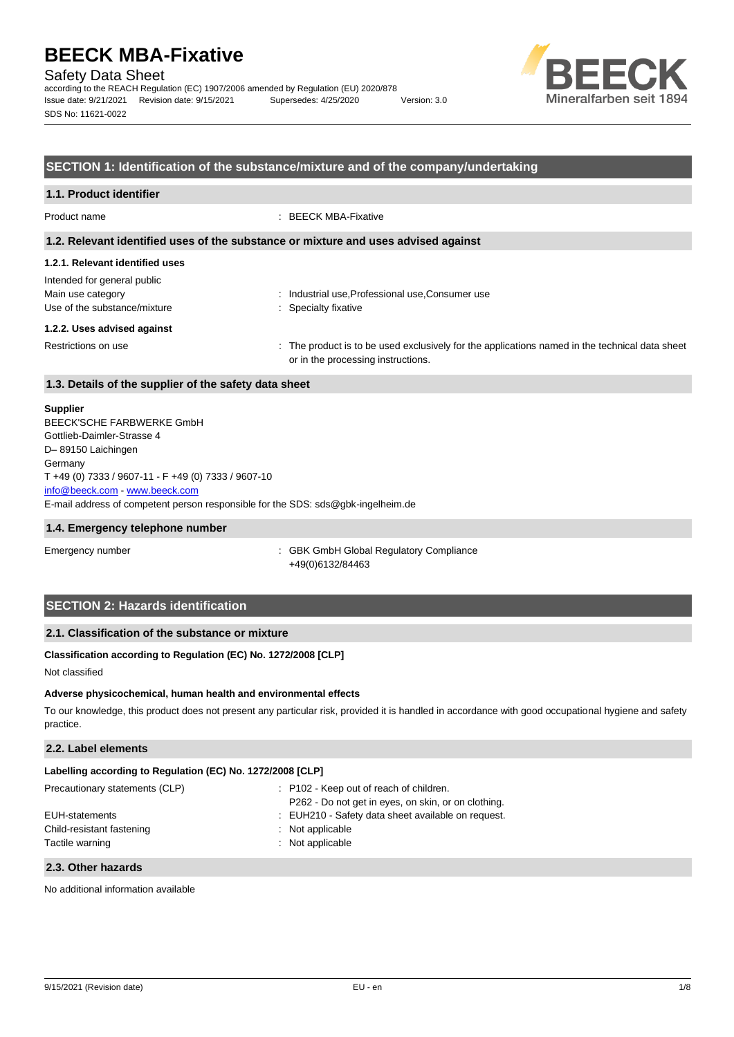Safety Data Sheet

according to the REACH Regulation (EC) 1907/2006 amended by Regulation (EU) 2020/878 Issue date: 9/21/2021 Revision date: 9/15/2021 Supersedes: 4/25/2020 Version: 3.0 SDS No: 11621-0022



# **SECTION 1: Identification of the substance/mixture and of the company/undertaking**

# **1.1. Product identifier**

Product name : BEECK MBA-Fixative

### **1.2. Relevant identified uses of the substance or mixture and uses advised against**

# **1.2.1. Relevant identified uses**

| Intended for general public  |  |
|------------------------------|--|
| Main use category            |  |
| Use of the substance/mixture |  |

: Industrial use, Professional use, Consumer use : Specialty fixative

#### **1.2.2. Uses advised against**

Restrictions on use state of the product is to be used exclusively for the applications named in the technical data sheet or in the processing instructions.

# **1.3. Details of the supplier of the safety data sheet**

### **Supplier**

E-mail address of competent person responsible for the SDS: sds@gbk-ingelheim.de BEECK'SCHE FARBWERKE GmbH Gottlieb-Daimler-Strasse 4 D– 89150 Laichingen Germany T +49 (0) 7333 / 9607-11 - F +49 (0) 7333 / 9607-10 [info@beeck.com](mailto:info@beeck.com) - [www.beeck.com](http://www.beeck.com/)

#### **1.4. Emergency telephone number**

Emergency number **Emergency** number **1996** is GBK GmbH Global Regulatory Compliance +49(0)6132/84463

# **SECTION 2: Hazards identification**

# **2.1. Classification of the substance or mixture**

# **Classification according to Regulation (EC) No. 1272/2008 [CLP]**

Not classified

#### **Adverse physicochemical, human health and environmental effects**

To our knowledge, this product does not present any particular risk, provided it is handled in accordance with good occupational hygiene and safety practice.

# **2.2. Label elements**

| Labelling according to Regulation (EC) No. 1272/2008 [CLP] |  |
|------------------------------------------------------------|--|
|------------------------------------------------------------|--|

| Precautionary statements (CLP) | : P102 - Keep out of reach of children.             |
|--------------------------------|-----------------------------------------------------|
|                                | P262 - Do not get in eyes, on skin, or on clothing. |
| EUH-statements                 | : EUH210 - Safety data sheet available on request.  |
| Child-resistant fastening      | $:$ Not applicable                                  |
| Tactile warning                | : Not applicable                                    |
|                                |                                                     |

### **2.3. Other hazards**

No additional information available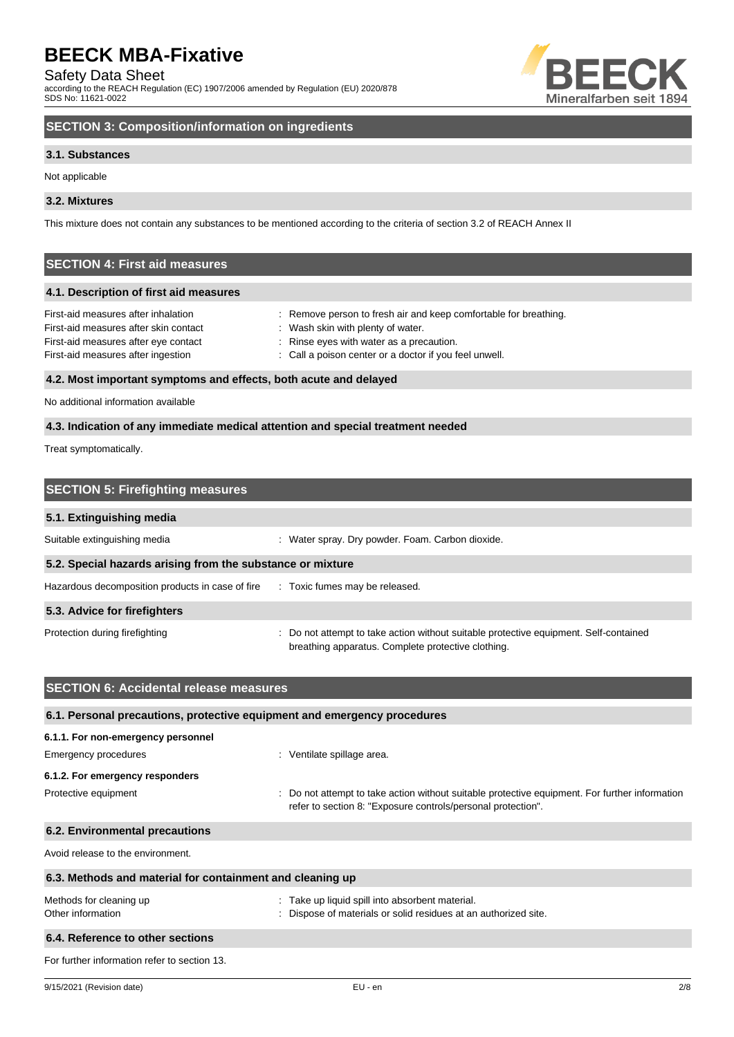Safety Data Sheet

according to the REACH Regulation (EC) 1907/2006 amended by Regulation (EU) 2020/878 SDS No: 11621-0022



# **SECTION 3: Composition/information on ingredients**

# **3.1. Substances**

Not applicable

# **3.2. Mixtures**

This mixture does not contain any substances to be mentioned according to the criteria of section 3.2 of REACH Annex II

# **SECTION 4: First aid measures**

# **4.1. Description of first aid measures**

| First-aid measures after inhalation   | : Remove person to fresh air and keep comfortable for breathing. |
|---------------------------------------|------------------------------------------------------------------|
| First-aid measures after skin contact | Wash skin with plenty of water.                                  |
| First-aid measures after eye contact  | : Rinse eyes with water as a precaution.                         |
| First-aid measures after ingestion    | : Call a poison center or a doctor if you feel unwell.           |
|                                       |                                                                  |

# **4.2. Most important symptoms and effects, both acute and delayed**

No additional information available

# **4.3. Indication of any immediate medical attention and special treatment needed**

Treat symptomatically.

| <b>SECTION 5: Firefighting measures</b>                    |                                                                                                                                             |  |
|------------------------------------------------------------|---------------------------------------------------------------------------------------------------------------------------------------------|--|
| 5.1. Extinguishing media                                   |                                                                                                                                             |  |
| Suitable extinguishing media                               | : Water spray. Dry powder. Foam. Carbon dioxide.                                                                                            |  |
| 5.2. Special hazards arising from the substance or mixture |                                                                                                                                             |  |
| Hazardous decomposition products in case of fire           | : Toxic fumes may be released.                                                                                                              |  |
| 5.3. Advice for firefighters                               |                                                                                                                                             |  |
| Protection during firefighting                             | : Do not attempt to take action without suitable protective equipment. Self-contained<br>breathing apparatus. Complete protective clothing. |  |

| <b>SECTION 6: Accidental release measures</b>                            |                                                                                                                                                                |  |  |
|--------------------------------------------------------------------------|----------------------------------------------------------------------------------------------------------------------------------------------------------------|--|--|
| 6.1. Personal precautions, protective equipment and emergency procedures |                                                                                                                                                                |  |  |
| 6.1.1. For non-emergency personnel                                       |                                                                                                                                                                |  |  |
| Emergency procedures                                                     | : Ventilate spillage area.                                                                                                                                     |  |  |
| 6.1.2. For emergency responders                                          |                                                                                                                                                                |  |  |
| Protective equipment                                                     | : Do not attempt to take action without suitable protective equipment. For further information<br>refer to section 8: "Exposure controls/personal protection". |  |  |
| 6.2. Environmental precautions                                           |                                                                                                                                                                |  |  |
| Avoid release to the environment.                                        |                                                                                                                                                                |  |  |
| 6.3. Methods and material for containment and cleaning up                |                                                                                                                                                                |  |  |
| Methods for cleaning up<br>Other information                             | : Take up liquid spill into absorbent material.<br>: Dispose of materials or solid residues at an authorized site.                                             |  |  |
| 6.4. Reference to other sections                                         |                                                                                                                                                                |  |  |
| For further information refer to section 13.                             |                                                                                                                                                                |  |  |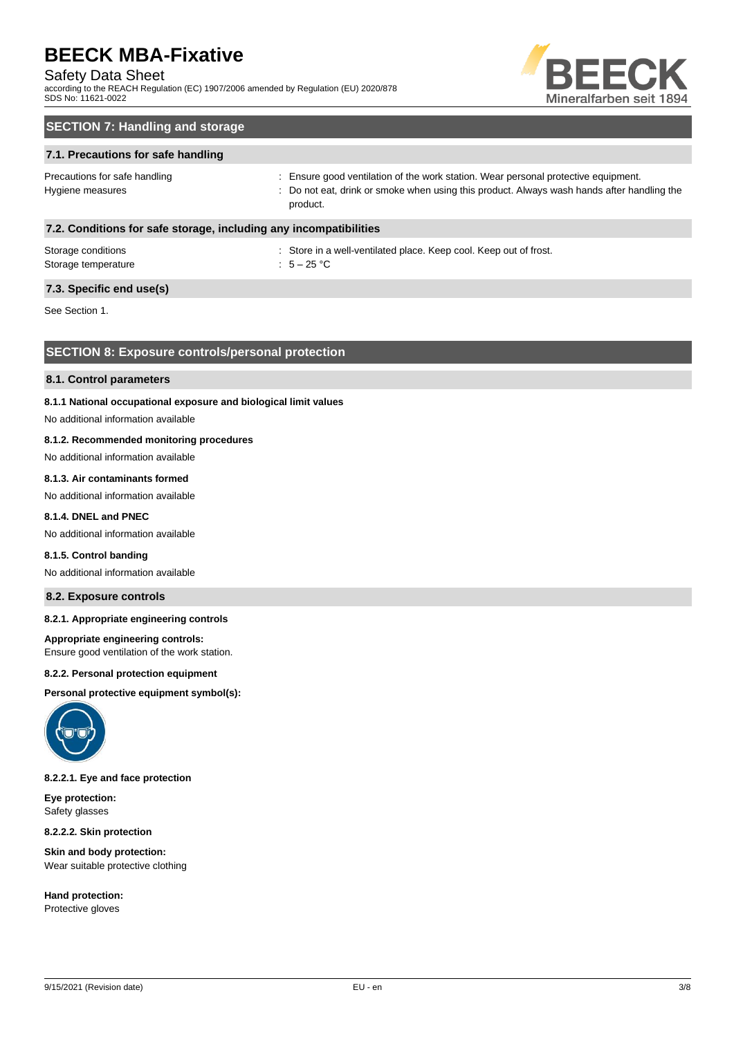# Safety Data Sheet

according to the REACH Regulation (EC) 1907/2006 amended by Regulation (EU) 2020/878 SDS No: 11621-0022



# **SECTION 7: Handling and storage**

# **7.1. Precautions for safe handling**

Precautions for safe handling state is ensure good ventilation of the work station. Wear personal protective equipment. Hygiene measures states of the state of the not eat, drink or smoke when using this product. Always wash hands after handling the product.

# **7.2. Conditions for safe storage, including any incompatibilities**

| Storage conditions  | : Store in a |
|---------------------|--------------|
| Storage temperature | : $5-25$ °C  |

: Store in a well-ventilated place. Keep cool. Keep out of frost.

# **7.3. Specific end use(s)**

See Section 1.

# **SECTION 8: Exposure controls/personal protection**

#### **8.1. Control parameters**

### **8.1.1 National occupational exposure and biological limit values**

No additional information available

# **8.1.2. Recommended monitoring procedures**

No additional information available

# **8.1.3. Air contaminants formed**

No additional information available

# **8.1.4. DNEL and PNEC**

No additional information available

#### **8.1.5. Control banding**

No additional information available

# **8.2. Exposure controls**

# **8.2.1. Appropriate engineering controls**

#### **Appropriate engineering controls:**

Ensure good ventilation of the work station.

#### **8.2.2. Personal protection equipment**

**Personal protective equipment symbol(s):**



# **8.2.2.1. Eye and face protection**

**Eye protection:** Safety glasses

**8.2.2.2. Skin protection**

**Skin and body protection:** Wear suitable protective clothing

**Hand protection:** Protective gloves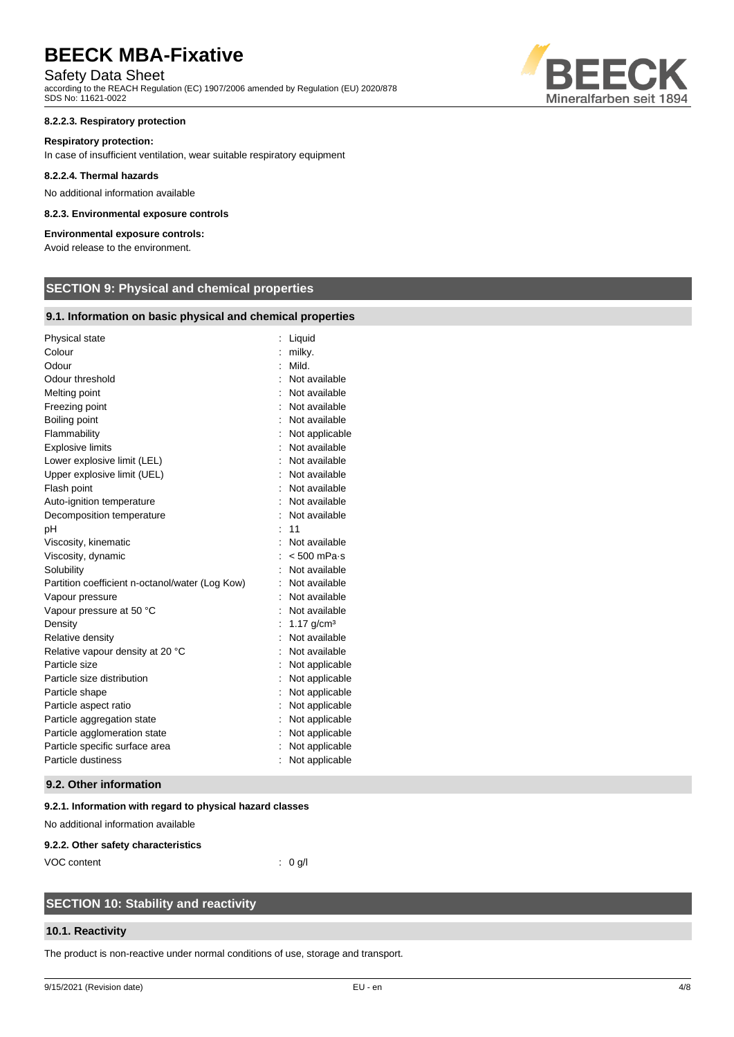# Safety Data Sheet

according to the REACH Regulation (EC) 1907/2006 amended by Regulation (EU) 2020/878 SDS No: 11621-0022

### **8.2.2.3. Respiratory protection**

#### **Respiratory protection:**

In case of insufficient ventilation, wear suitable respiratory equipment

#### **8.2.2.4. Thermal hazards**

No additional information available

### **8.2.3. Environmental exposure controls**

# **Environmental exposure controls:**

Avoid release to the environment.

# **SECTION 9: Physical and chemical properties**

# **9.1. Information on basic physical and chemical properties**

| Physical state                                  | Liquid                |
|-------------------------------------------------|-----------------------|
| Colour                                          | milky.                |
| Odour                                           | Mild.                 |
| Odour threshold                                 | Not available         |
| Melting point                                   | Not available         |
| Freezing point                                  | Not available         |
| Boiling point                                   | Not available         |
| Flammability                                    | Not applicable        |
| <b>Explosive limits</b>                         | Not available         |
| Lower explosive limit (LEL)                     | Not available         |
| Upper explosive limit (UEL)                     | Not available         |
| Flash point                                     | Not available         |
| Auto-ignition temperature                       | Not available         |
| Decomposition temperature                       | Not available         |
| рH                                              | 11                    |
| Viscosity, kinematic                            | Not available         |
| Viscosity, dynamic                              | $< 500$ mPa $\cdot$ s |
| Solubility                                      | Not available         |
| Partition coefficient n-octanol/water (Log Kow) | Not available         |
| Vapour pressure                                 | Not available         |
| Vapour pressure at 50 °C                        | Not available         |
| Density                                         | 1.17 $q/cm^3$         |
| Relative density                                | Not available         |
| Relative vapour density at 20 °C                | Not available         |
| Particle size                                   | Not applicable        |
| Particle size distribution                      | Not applicable        |
| Particle shape                                  | Not applicable        |
| Particle aspect ratio                           | Not applicable        |
| Particle aggregation state                      | Not applicable        |
| Particle agglomeration state                    | Not applicable        |
| Particle specific surface area                  | Not applicable        |
| Particle dustiness                              | Not applicable        |
|                                                 |                       |

# **9.2. Other information**

# **9.2.1. Information with regard to physical hazard classes**

No additional information available

#### **9.2.2. Other safety characteristics**

VOC content : 0 g/l

# **SECTION 10: Stability and reactivity**

# **10.1. Reactivity**

The product is non-reactive under normal conditions of use, storage and transport.

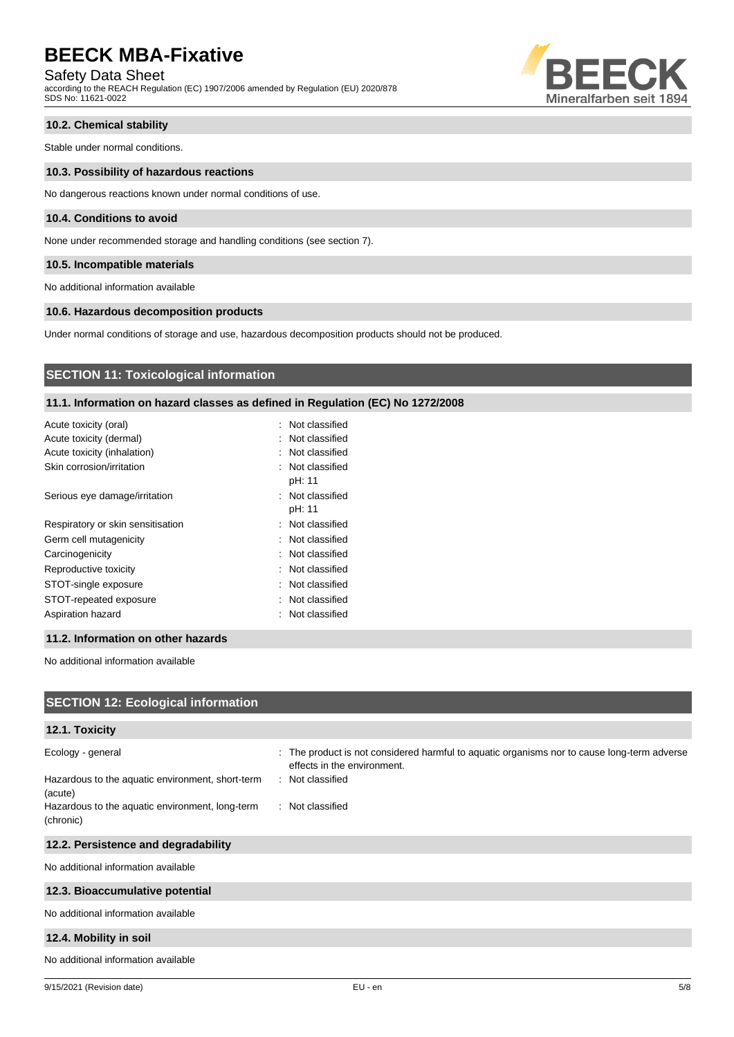Safety Data Sheet

according to the REACH Regulation (EC) 1907/2006 amended by Regulation (EU) 2020/878 SDS No: 11621-0022



# **10.2. Chemical stability**

Stable under normal conditions.

#### **10.3. Possibility of hazardous reactions**

No dangerous reactions known under normal conditions of use.

# **10.4. Conditions to avoid**

None under recommended storage and handling conditions (see section 7).

### **10.5. Incompatible materials**

No additional information available

# **10.6. Hazardous decomposition products**

Under normal conditions of storage and use, hazardous decomposition products should not be produced.

# **SECTION 11: Toxicological information**

# **11.1. Information on hazard classes as defined in Regulation (EC) No 1272/2008**

| Acute toxicity (oral)             | : Not classified           |
|-----------------------------------|----------------------------|
| Acute toxicity (dermal)           | : Not classified           |
| Acute toxicity (inhalation)       | : Not classified           |
| Skin corrosion/irritation         | : Not classified<br>pH: 11 |
| Serious eye damage/irritation     | : Not classified<br>pH: 11 |
| Respiratory or skin sensitisation | : Not classified           |
| Germ cell mutagenicity            | : Not classified           |
| Carcinogenicity                   | : Not classified           |
| Reproductive toxicity             | : Not classified           |
| STOT-single exposure              | : Not classified           |
| STOT-repeated exposure            | : Not classified           |
| Aspiration hazard                 | : Not classified           |

### **11.2. Information on other hazards**

No additional information available

| <b>SECTION 12: Ecological information</b>                                        |                                                                                                                                                |  |  |
|----------------------------------------------------------------------------------|------------------------------------------------------------------------------------------------------------------------------------------------|--|--|
| 12.1. Toxicity                                                                   |                                                                                                                                                |  |  |
| Ecology - general<br>Hazardous to the aquatic environment, short-term<br>(acute) | : The product is not considered harmful to aquatic organisms nor to cause long-term adverse<br>effects in the environment.<br>: Not classified |  |  |
| Hazardous to the aquatic environment, long-term<br>(chronic)                     | : Not classified                                                                                                                               |  |  |
| 12.2. Persistence and degradability                                              |                                                                                                                                                |  |  |
| No additional information available                                              |                                                                                                                                                |  |  |
| 12.3. Bioaccumulative potential                                                  |                                                                                                                                                |  |  |
| No additional information available                                              |                                                                                                                                                |  |  |
| 12.4. Mobility in soil                                                           |                                                                                                                                                |  |  |
| No additional information available                                              |                                                                                                                                                |  |  |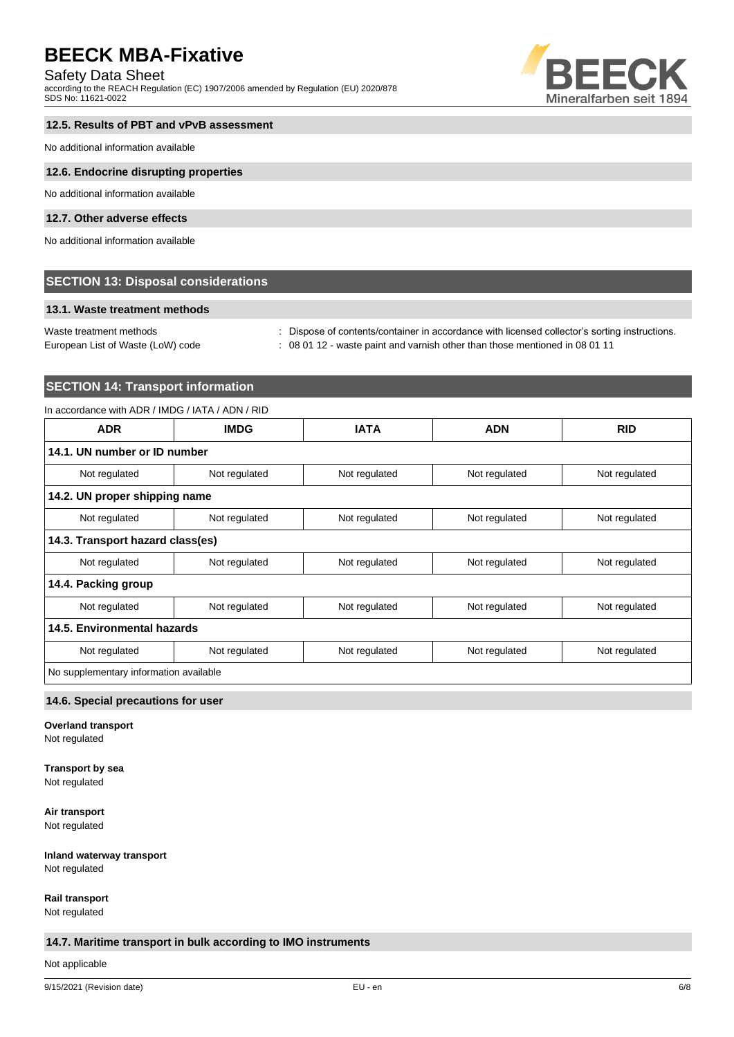# Safety Data Sheet

according to the REACH Regulation (EC) 1907/2006 amended by Regulation (EU) 2020/878 SDS No: 11621-0022



# **12.5. Results of PBT and vPvB assessment**

No additional information available

### **12.6. Endocrine disrupting properties**

No additional information available

# **12.7. Other adverse effects**

No additional information available

# **SECTION 13: Disposal considerations**

# **13.1. Waste treatment methods**

Waste treatment methods : Dispose of contents/container in accordance with licensed collector's sorting instructions.

European List of Waste (LoW) code : 08 01 12 - waste paint and varnish other than those mentioned in 08 01 11

# **SECTION 14: Transport information**

# In accordance with ADR / IMDG / IATA / ADN / RID

| <b>ADR</b>                             | <b>IMDG</b>   | <b>IATA</b>   | <b>ADN</b>    | <b>RID</b>    |
|----------------------------------------|---------------|---------------|---------------|---------------|
| 14.1. UN number or ID number           |               |               |               |               |
| Not regulated                          | Not regulated | Not regulated | Not regulated | Not regulated |
| 14.2. UN proper shipping name          |               |               |               |               |
| Not regulated                          | Not regulated | Not regulated | Not regulated | Not regulated |
| 14.3. Transport hazard class(es)       |               |               |               |               |
| Not regulated                          | Not regulated | Not regulated | Not regulated | Not regulated |
| 14.4. Packing group                    |               |               |               |               |
| Not regulated                          | Not regulated | Not regulated | Not regulated | Not regulated |
| 14.5. Environmental hazards            |               |               |               |               |
| Not regulated                          | Not regulated | Not regulated | Not regulated | Not regulated |
| No supplementary information available |               |               |               |               |

# **14.6. Special precautions for user**

**Overland transport**

Not regulated

# **Transport by sea**

Not regulated

# **Air transport**

Not regulated

# **Inland waterway transport**

Not regulated

# **Rail transport**

Not regulated

# **14.7. Maritime transport in bulk according to IMO instruments**

Not applicable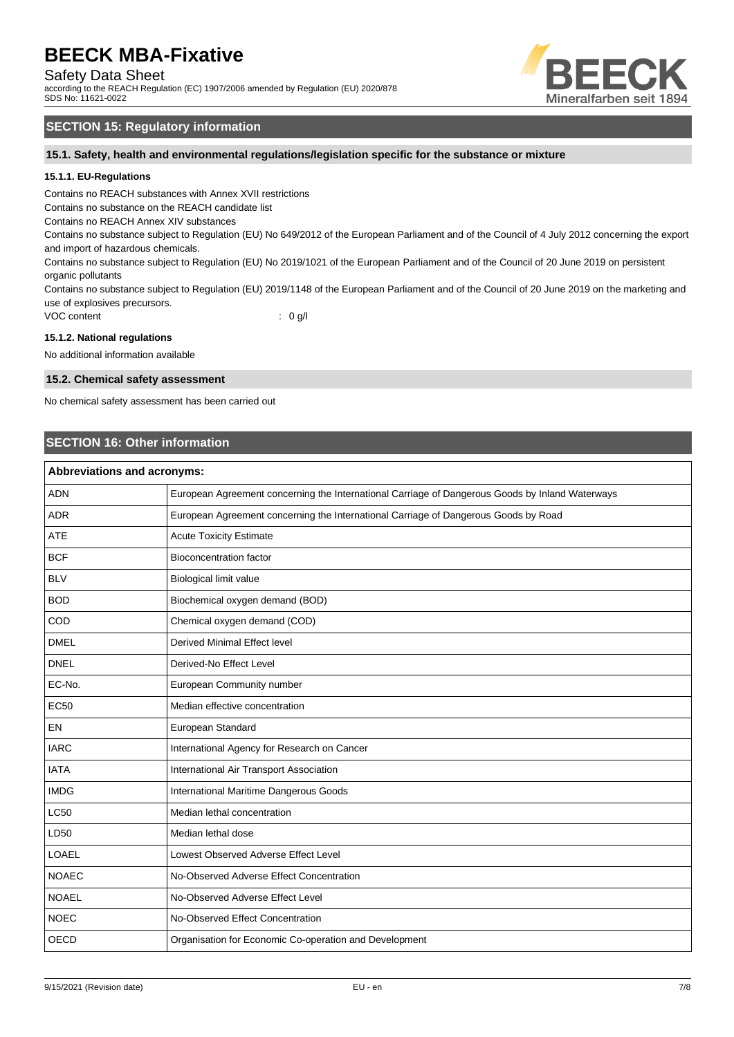Safety Data Sheet

according to the REACH Regulation (EC) 1907/2006 amended by Regulation (EU) 2020/878 SDS No: 11621-0022



# **SECTION 15: Regulatory information**

**15.1. Safety, health and environmental regulations/legislation specific for the substance or mixture**

# **15.1.1. EU-Regulations**

Contains no REACH substances with Annex XVII restrictions

Contains no substance on the REACH candidate list

Contains no REACH Annex XIV substances

Contains no substance subject to Regulation (EU) No 649/2012 of the European Parliament and of the Council of 4 July 2012 concerning the export and import of hazardous chemicals.

Contains no substance subject to Regulation (EU) No 2019/1021 of the European Parliament and of the Council of 20 June 2019 on persistent organic pollutants

Contains no substance subject to Regulation (EU) 2019/1148 of the European Parliament and of the Council of 20 June 2019 on the marketing and use of explosives precursors.

VOC content : 0 g/l

#### **15.1.2. National regulations**

No additional information available

#### **15.2. Chemical safety assessment**

No chemical safety assessment has been carried out

# **SECTION 16: Other information**

| <b>Abbreviations and acronyms:</b> |                                                                                                 |  |
|------------------------------------|-------------------------------------------------------------------------------------------------|--|
| <b>ADN</b>                         | European Agreement concerning the International Carriage of Dangerous Goods by Inland Waterways |  |
| <b>ADR</b>                         | European Agreement concerning the International Carriage of Dangerous Goods by Road             |  |
| <b>ATE</b>                         | <b>Acute Toxicity Estimate</b>                                                                  |  |
| <b>BCF</b>                         | <b>Bioconcentration factor</b>                                                                  |  |
| <b>BLV</b>                         | Biological limit value                                                                          |  |
| <b>BOD</b>                         | Biochemical oxygen demand (BOD)                                                                 |  |
| COD                                | Chemical oxygen demand (COD)                                                                    |  |
| <b>DMEL</b>                        | Derived Minimal Effect level                                                                    |  |
| <b>DNEL</b>                        | Derived-No Effect Level                                                                         |  |
| EC-No.                             | European Community number                                                                       |  |
| <b>EC50</b>                        | Median effective concentration                                                                  |  |
| EN                                 | European Standard                                                                               |  |
| <b>IARC</b>                        | International Agency for Research on Cancer                                                     |  |
| <b>IATA</b>                        | International Air Transport Association                                                         |  |
| <b>IMDG</b>                        | International Maritime Dangerous Goods                                                          |  |
| <b>LC50</b>                        | Median lethal concentration                                                                     |  |
| LD50                               | Median lethal dose                                                                              |  |
| <b>LOAEL</b>                       | Lowest Observed Adverse Effect Level                                                            |  |
| <b>NOAEC</b>                       | No-Observed Adverse Effect Concentration                                                        |  |
| <b>NOAEL</b>                       | No-Observed Adverse Effect Level                                                                |  |
| <b>NOEC</b>                        | No-Observed Effect Concentration                                                                |  |
| <b>OECD</b>                        | Organisation for Economic Co-operation and Development                                          |  |